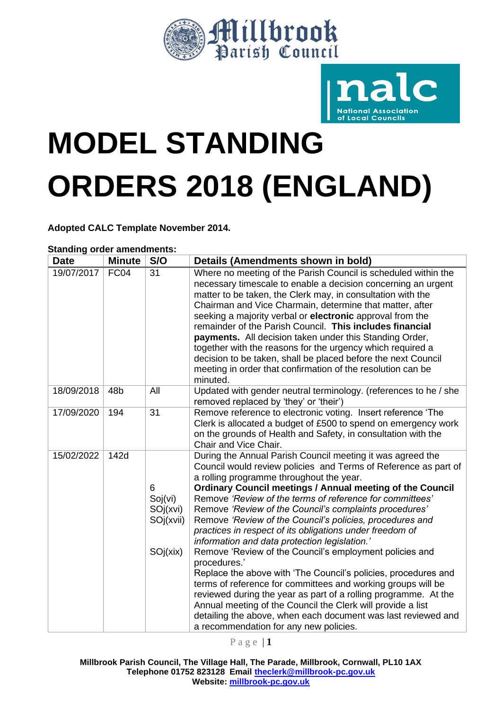



# **MODEL STANDING ORDERS 2018 (ENGLAND)**

**Adopted CALC Template November 2014.**

| <b>Date</b> | <b>Minute</b>   | S/O                                               | Details (Amendments shown in bold)                                                                                                                                                                                                                                                                                                                                                                                                                                                                                                                                                                                                                                                                                                                                                                                                                                                                                                                                                                     |
|-------------|-----------------|---------------------------------------------------|--------------------------------------------------------------------------------------------------------------------------------------------------------------------------------------------------------------------------------------------------------------------------------------------------------------------------------------------------------------------------------------------------------------------------------------------------------------------------------------------------------------------------------------------------------------------------------------------------------------------------------------------------------------------------------------------------------------------------------------------------------------------------------------------------------------------------------------------------------------------------------------------------------------------------------------------------------------------------------------------------------|
| 19/07/2017  | FC04            | 31                                                | Where no meeting of the Parish Council is scheduled within the<br>necessary timescale to enable a decision concerning an urgent<br>matter to be taken, the Clerk may, in consultation with the<br>Chairman and Vice Charmain, determine that matter, after<br>seeking a majority verbal or electronic approval from the<br>remainder of the Parish Council. This includes financial<br>payments. All decision taken under this Standing Order,<br>together with the reasons for the urgency which required a<br>decision to be taken, shall be placed before the next Council<br>meeting in order that confirmation of the resolution can be<br>minuted.                                                                                                                                                                                                                                                                                                                                               |
| 18/09/2018  | 48 <sub>b</sub> | All                                               | Updated with gender neutral terminology. (references to he / she<br>removed replaced by 'they' or 'their')                                                                                                                                                                                                                                                                                                                                                                                                                                                                                                                                                                                                                                                                                                                                                                                                                                                                                             |
| 17/09/2020  | 194             | 31                                                | Remove reference to electronic voting. Insert reference 'The<br>Clerk is allocated a budget of £500 to spend on emergency work<br>on the grounds of Health and Safety, in consultation with the<br>Chair and Vice Chair.                                                                                                                                                                                                                                                                                                                                                                                                                                                                                                                                                                                                                                                                                                                                                                               |
| 15/02/2022  | 142d            | 6<br>Soj(vi)<br>SOj(xvi)<br>SOj(xvii)<br>SOj(xix) | During the Annual Parish Council meeting it was agreed the<br>Council would review policies and Terms of Reference as part of<br>a rolling programme throughout the year.<br><b>Ordinary Council meetings / Annual meeting of the Council</b><br>Remove 'Review of the terms of reference for committees'<br>Remove 'Review of the Council's complaints procedures'<br>Remove 'Review of the Council's policies, procedures and<br>practices in respect of its obligations under freedom of<br>information and data protection legislation.'<br>Remove 'Review of the Council's employment policies and<br>procedures.'<br>Replace the above with 'The Council's policies, procedures and<br>terms of reference for committees and working groups will be<br>reviewed during the year as part of a rolling programme. At the<br>Annual meeting of the Council the Clerk will provide a list<br>detailing the above, when each document was last reviewed and<br>a recommendation for any new policies. |

**Standing order amendments:**

P a g e | **1**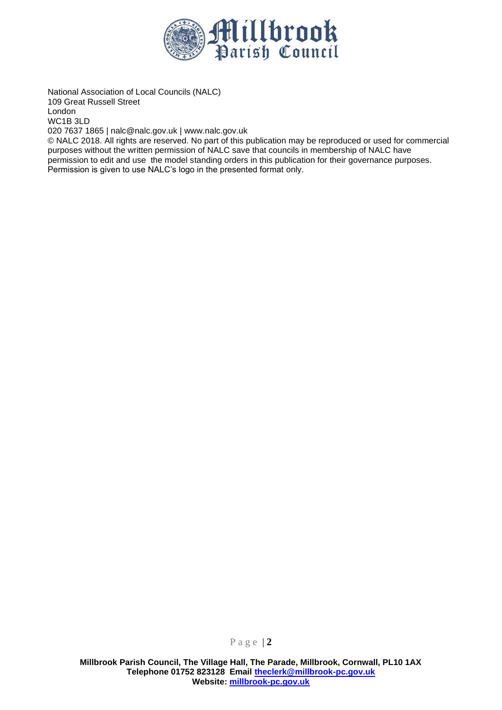

National Association of Local Councils (NALC) 109 Great Russell Street London WC1B 3LD 020 7637 1865 | nalc@nalc.gov.uk | www.nalc.gov.uk

© NALC 2018. All rights are reserved. No part of this publication may be reproduced or used for commercial purposes without the written permission of NALC save that councils in membership of NALC have permission to edit and use the model standing orders in this publication for their governance purposes. Permission is given to use NALC's logo in the presented format only.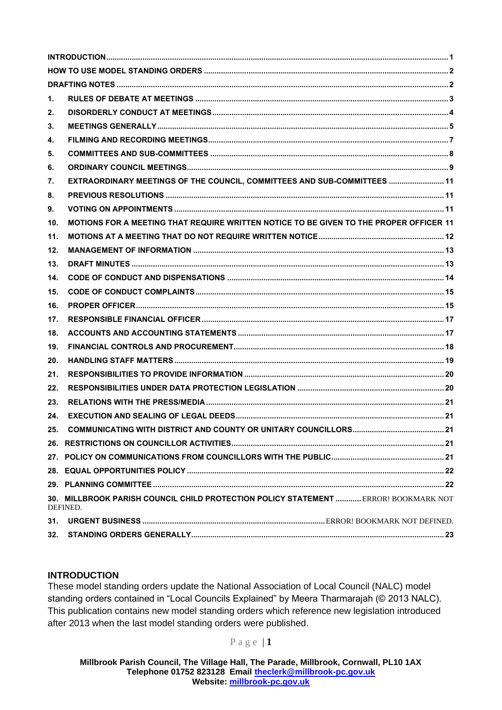| 1.  |                                                                                                 |  |
|-----|-------------------------------------------------------------------------------------------------|--|
| 2.  |                                                                                                 |  |
| 3.  |                                                                                                 |  |
| 4.  |                                                                                                 |  |
| 5.  |                                                                                                 |  |
| 6.  |                                                                                                 |  |
| 7.  | EXTRAORDINARY MEETINGS OF THE COUNCIL, COMMITTEES AND SUB-COMMITTEES  11                        |  |
| 8.  |                                                                                                 |  |
| 9.  |                                                                                                 |  |
| 10. | MOTIONS FOR A MEETING THAT REQUIRE WRITTEN NOTICE TO BE GIVEN TO THE PROPER OFFICER 11          |  |
| 11. |                                                                                                 |  |
| 12. |                                                                                                 |  |
| 13. |                                                                                                 |  |
| 14. |                                                                                                 |  |
| 15. |                                                                                                 |  |
| 16. |                                                                                                 |  |
| 17. |                                                                                                 |  |
| 18. |                                                                                                 |  |
| 19. |                                                                                                 |  |
| 20. |                                                                                                 |  |
| 21. |                                                                                                 |  |
| 22. |                                                                                                 |  |
| 23. |                                                                                                 |  |
| 24. |                                                                                                 |  |
|     |                                                                                                 |  |
|     |                                                                                                 |  |
|     |                                                                                                 |  |
|     |                                                                                                 |  |
|     |                                                                                                 |  |
|     | 30. MILLBROOK PARISH COUNCIL CHILD PROTECTION POLICY STATEMENT  ERROR! BOOKMARK NOT<br>DEFINED. |  |
| 31. |                                                                                                 |  |
| 32. |                                                                                                 |  |

# <span id="page-2-0"></span>**INTRODUCTION**

These model standing orders update the National Association of Local Council (NALC) model standing orders contained in "Local Councils Explained" by Meera Tharmarajah (© 2013 NALC). This publication contains new model standing orders which reference new legislation introduced after 2013 when the last model standing orders were published.

# P a g e | **1**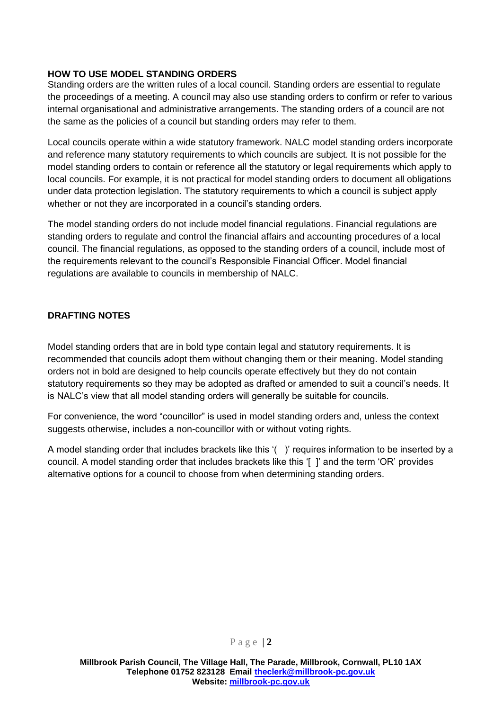### <span id="page-3-0"></span>**HOW TO USE MODEL STANDING ORDERS**

Standing orders are the written rules of a local council. Standing orders are essential to regulate the proceedings of a meeting. A council may also use standing orders to confirm or refer to various internal organisational and administrative arrangements. The standing orders of a council are not the same as the policies of a council but standing orders may refer to them.

Local councils operate within a wide statutory framework. NALC model standing orders incorporate and reference many statutory requirements to which councils are subject. It is not possible for the model standing orders to contain or reference all the statutory or legal requirements which apply to local councils. For example, it is not practical for model standing orders to document all obligations under data protection legislation. The statutory requirements to which a council is subject apply whether or not they are incorporated in a council's standing orders.

The model standing orders do not include model financial regulations. Financial regulations are standing orders to regulate and control the financial affairs and accounting procedures of a local council. The financial regulations, as opposed to the standing orders of a council, include most of the requirements relevant to the council's Responsible Financial Officer. Model financial regulations are available to councils in membership of NALC.

#### <span id="page-3-1"></span>**DRAFTING NOTES**

Model standing orders that are in bold type contain legal and statutory requirements. It is recommended that councils adopt them without changing them or their meaning. Model standing orders not in bold are designed to help councils operate effectively but they do not contain statutory requirements so they may be adopted as drafted or amended to suit a council's needs. It is NALC's view that all model standing orders will generally be suitable for councils.

For convenience, the word "councillor" is used in model standing orders and, unless the context suggests otherwise, includes a non-councillor with or without voting rights.

A model standing order that includes brackets like this '( )' requires information to be inserted by a council. A model standing order that includes brackets like this '[ ]' and the term 'OR' provides alternative options for a council to choose from when determining standing orders.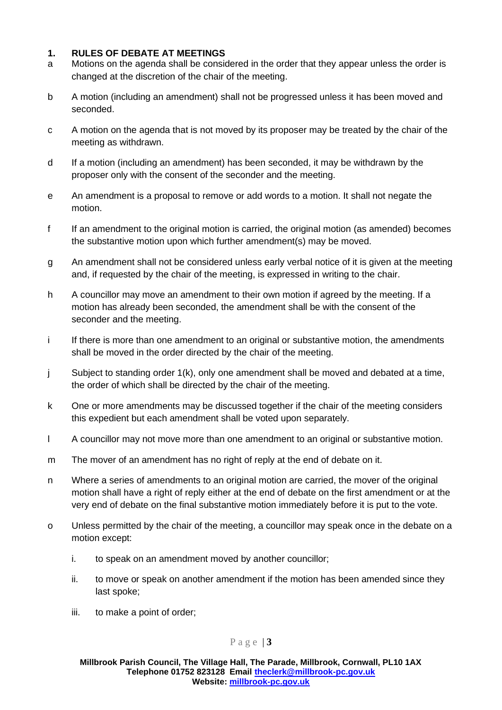# <span id="page-4-0"></span>**1. RULES OF DEBATE AT MEETINGS**

- a Motions on the agenda shall be considered in the order that they appear unless the order is changed at the discretion of the chair of the meeting.
- b A motion (including an amendment) shall not be progressed unless it has been moved and seconded.
- c A motion on the agenda that is not moved by its proposer may be treated by the chair of the meeting as withdrawn.
- d If a motion (including an amendment) has been seconded, it may be withdrawn by the proposer only with the consent of the seconder and the meeting.
- e An amendment is a proposal to remove or add words to a motion. It shall not negate the motion.
- f If an amendment to the original motion is carried, the original motion (as amended) becomes the substantive motion upon which further amendment(s) may be moved.
- g An amendment shall not be considered unless early verbal notice of it is given at the meeting and, if requested by the chair of the meeting, is expressed in writing to the chair.
- h A councillor may move an amendment to their own motion if agreed by the meeting. If a motion has already been seconded, the amendment shall be with the consent of the seconder and the meeting.
- i If there is more than one amendment to an original or substantive motion, the amendments shall be moved in the order directed by the chair of the meeting.
- j Subject to standing order 1(k), only one amendment shall be moved and debated at a time, the order of which shall be directed by the chair of the meeting.
- k One or more amendments may be discussed together if the chair of the meeting considers this expedient but each amendment shall be voted upon separately.
- l A councillor may not move more than one amendment to an original or substantive motion.
- m The mover of an amendment has no right of reply at the end of debate on it.
- n Where a series of amendments to an original motion are carried, the mover of the original motion shall have a right of reply either at the end of debate on the first amendment or at the very end of debate on the final substantive motion immediately before it is put to the vote.
- o Unless permitted by the chair of the meeting, a councillor may speak once in the debate on a motion except:
	- i. to speak on an amendment moved by another councillor;
	- ii. to move or speak on another amendment if the motion has been amended since they last spoke;
	- iii. to make a point of order;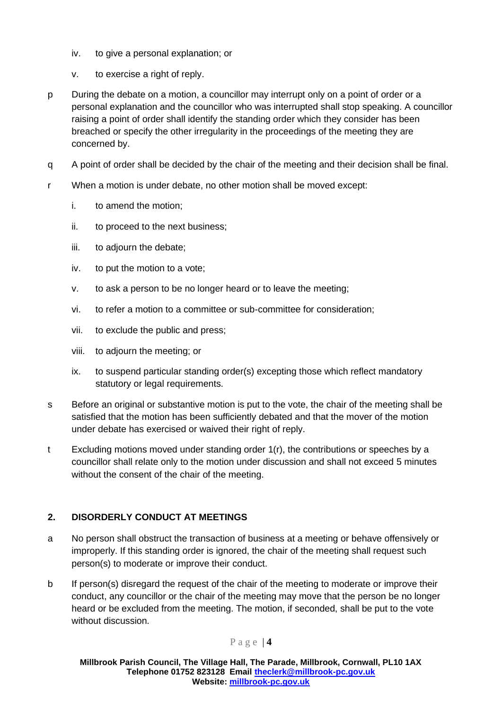- iv. to give a personal explanation; or
- v. to exercise a right of reply.
- p During the debate on a motion, a councillor may interrupt only on a point of order or a personal explanation and the councillor who was interrupted shall stop speaking. A councillor raising a point of order shall identify the standing order which they consider has been breached or specify the other irregularity in the proceedings of the meeting they are concerned by.
- q A point of order shall be decided by the chair of the meeting and their decision shall be final.
- r When a motion is under debate, no other motion shall be moved except:
	- i. to amend the motion;
	- ii. to proceed to the next business;
	- iii. to adjourn the debate;
	- iv. to put the motion to a vote;
	- v. to ask a person to be no longer heard or to leave the meeting;
	- vi. to refer a motion to a committee or sub-committee for consideration;
	- vii. to exclude the public and press;
	- viii. to adjourn the meeting; or
	- ix. to suspend particular standing order(s) excepting those which reflect mandatory statutory or legal requirements.
- s Before an original or substantive motion is put to the vote, the chair of the meeting shall be satisfied that the motion has been sufficiently debated and that the mover of the motion under debate has exercised or waived their right of reply.
- t Excluding motions moved under standing order 1(r), the contributions or speeches by a councillor shall relate only to the motion under discussion and shall not exceed 5 minutes without the consent of the chair of the meeting.

# <span id="page-5-0"></span>**2. DISORDERLY CONDUCT AT MEETINGS**

- a No person shall obstruct the transaction of business at a meeting or behave offensively or improperly. If this standing order is ignored, the chair of the meeting shall request such person(s) to moderate or improve their conduct.
- b If person(s) disregard the request of the chair of the meeting to moderate or improve their conduct, any councillor or the chair of the meeting may move that the person be no longer heard or be excluded from the meeting. The motion, if seconded, shall be put to the vote without discussion.

# P a g e | **4**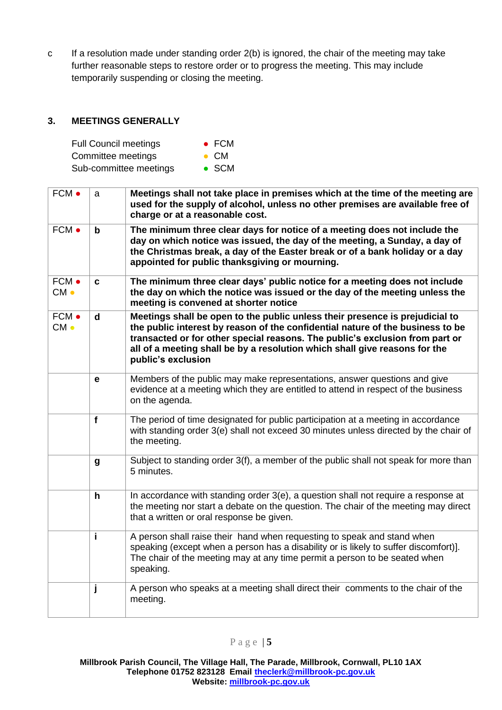c If a resolution made under standing order 2(b) is ignored, the chair of the meeting may take further reasonable steps to restore order or to progress the meeting. This may include temporarily suspending or closing the meeting.

# <span id="page-6-0"></span>**3. MEETINGS GENERALLY**

| <b>Full Council meetings</b> | $\bullet$ FCM |
|------------------------------|---------------|
| Committee meetings           | $\bullet$ CM  |

| Sub-committee meetings | $\bullet$ SCM |
|------------------------|---------------|
|                        |               |

| FCM •           | a                | Meetings shall not take place in premises which at the time of the meeting are<br>used for the supply of alcohol, unless no other premises are available free of<br>charge or at a reasonable cost.                                                                                                                                                |
|-----------------|------------------|----------------------------------------------------------------------------------------------------------------------------------------------------------------------------------------------------------------------------------------------------------------------------------------------------------------------------------------------------|
| FCM •           | b                | The minimum three clear days for notice of a meeting does not include the<br>day on which notice was issued, the day of the meeting, a Sunday, a day of<br>the Christmas break, a day of the Easter break or of a bank holiday or a day<br>appointed for public thanksgiving or mourning.                                                          |
| FCM •<br>$CM -$ | C                | The minimum three clear days' public notice for a meeting does not include<br>the day on which the notice was issued or the day of the meeting unless the<br>meeting is convened at shorter notice                                                                                                                                                 |
| FCM •<br>$CM -$ | $\mathbf d$      | Meetings shall be open to the public unless their presence is prejudicial to<br>the public interest by reason of the confidential nature of the business to be<br>transacted or for other special reasons. The public's exclusion from part or<br>all of a meeting shall be by a resolution which shall give reasons for the<br>public's exclusion |
|                 | e                | Members of the public may make representations, answer questions and give<br>evidence at a meeting which they are entitled to attend in respect of the business<br>on the agenda.                                                                                                                                                                  |
|                 | f                | The period of time designated for public participation at a meeting in accordance<br>with standing order 3(e) shall not exceed 30 minutes unless directed by the chair of<br>the meeting.                                                                                                                                                          |
|                 | $\boldsymbol{g}$ | Subject to standing order 3(f), a member of the public shall not speak for more than<br>5 minutes.                                                                                                                                                                                                                                                 |
|                 | $\mathbf h$      | In accordance with standing order 3(e), a question shall not require a response at<br>the meeting nor start a debate on the question. The chair of the meeting may direct<br>that a written or oral response be given.                                                                                                                             |
|                 | i                | A person shall raise their hand when requesting to speak and stand when<br>speaking (except when a person has a disability or is likely to suffer discomfort)].<br>The chair of the meeting may at any time permit a person to be seated when<br>speaking.                                                                                         |
|                 | j                | A person who speaks at a meeting shall direct their comments to the chair of the<br>meeting.                                                                                                                                                                                                                                                       |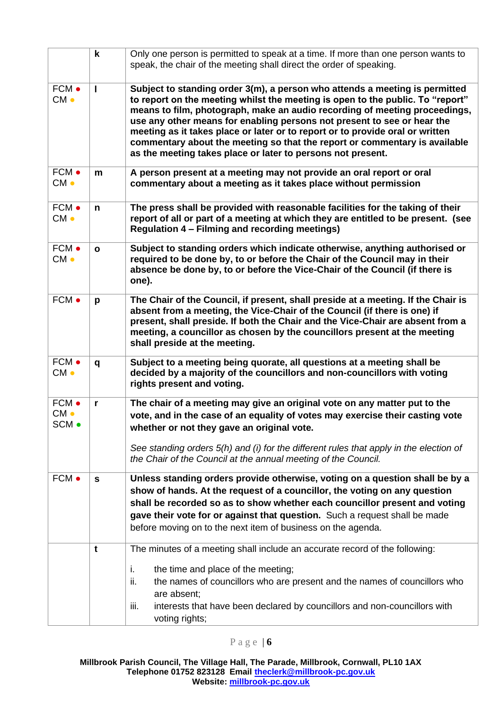|                                   | $\mathbf k$  | Only one person is permitted to speak at a time. If more than one person wants to<br>speak, the chair of the meeting shall direct the order of speaking.                                                                                                                                                                                                                                                                                                                                                                                             |
|-----------------------------------|--------------|------------------------------------------------------------------------------------------------------------------------------------------------------------------------------------------------------------------------------------------------------------------------------------------------------------------------------------------------------------------------------------------------------------------------------------------------------------------------------------------------------------------------------------------------------|
| FCM •<br>$CM -$                   | $\mathbf{I}$ | Subject to standing order 3(m), a person who attends a meeting is permitted<br>to report on the meeting whilst the meeting is open to the public. To "report"<br>means to film, photograph, make an audio recording of meeting proceedings,<br>use any other means for enabling persons not present to see or hear the<br>meeting as it takes place or later or to report or to provide oral or written<br>commentary about the meeting so that the report or commentary is available<br>as the meeting takes place or later to persons not present. |
| FCM •<br>$CM \bullet$             | m            | A person present at a meeting may not provide an oral report or oral<br>commentary about a meeting as it takes place without permission                                                                                                                                                                                                                                                                                                                                                                                                              |
| FCM •<br>$CM -$                   | $\mathbf n$  | The press shall be provided with reasonable facilities for the taking of their<br>report of all or part of a meeting at which they are entitled to be present. (see<br><b>Regulation 4 – Filming and recording meetings)</b>                                                                                                                                                                                                                                                                                                                         |
| FCM •<br>CM <sub>o</sub>          | $\mathbf{o}$ | Subject to standing orders which indicate otherwise, anything authorised or<br>required to be done by, to or before the Chair of the Council may in their<br>absence be done by, to or before the Vice-Chair of the Council (if there is<br>one).                                                                                                                                                                                                                                                                                                    |
| FCM •                             | p            | The Chair of the Council, if present, shall preside at a meeting. If the Chair is<br>absent from a meeting, the Vice-Chair of the Council (if there is one) if<br>present, shall preside. If both the Chair and the Vice-Chair are absent from a<br>meeting, a councillor as chosen by the councillors present at the meeting<br>shall preside at the meeting.                                                                                                                                                                                       |
| FCM •<br>$CM -$                   | q            | Subject to a meeting being quorate, all questions at a meeting shall be<br>decided by a majority of the councillors and non-councillors with voting<br>rights present and voting.                                                                                                                                                                                                                                                                                                                                                                    |
| FCM •<br>CM <sub>o</sub><br>SCM · | r            | The chair of a meeting may give an original vote on any matter put to the<br>vote, and in the case of an equality of votes may exercise their casting vote<br>whether or not they gave an original vote.<br>See standing orders 5(h) and (i) for the different rules that apply in the election of<br>the Chair of the Council at the annual meeting of the Council.                                                                                                                                                                                 |
| FCM •                             | $\mathbf{s}$ | Unless standing orders provide otherwise, voting on a question shall be by a<br>show of hands. At the request of a councillor, the voting on any question<br>shall be recorded so as to show whether each councillor present and voting<br>gave their vote for or against that question. Such a request shall be made<br>before moving on to the next item of business on the agenda.                                                                                                                                                                |
|                                   | t            | The minutes of a meeting shall include an accurate record of the following:<br>the time and place of the meeting;<br>i.<br>the names of councillors who are present and the names of councillors who<br>ii.<br>are absent;<br>interests that have been declared by councillors and non-councillors with<br>iii.<br>voting rights;                                                                                                                                                                                                                    |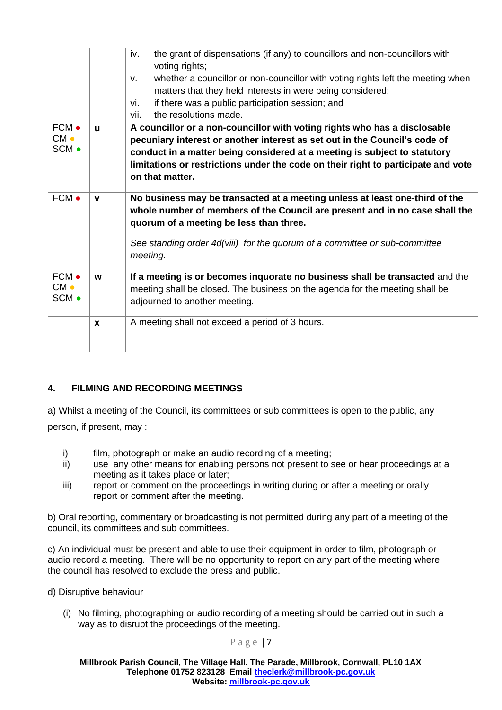|                          |              | the grant of dispensations (if any) to councillors and non-councillors with<br>iv.<br>voting rights;<br>whether a councillor or non-councillor with voting rights left the meeting when<br>$V_{\cdot}$<br>matters that they held interests in were being considered;<br>if there was a public participation session; and<br>vi.<br>the resolutions made.<br>vii. |
|--------------------------|--------------|------------------------------------------------------------------------------------------------------------------------------------------------------------------------------------------------------------------------------------------------------------------------------------------------------------------------------------------------------------------|
| FCM •<br>$CM -$<br>SCM . | $\mathbf{u}$ | A councillor or a non-councillor with voting rights who has a disclosable<br>pecuniary interest or another interest as set out in the Council's code of<br>conduct in a matter being considered at a meeting is subject to statutory<br>limitations or restrictions under the code on their right to participate and vote<br>on that matter.                     |
| FCM •                    | $\mathbf v$  | No business may be transacted at a meeting unless at least one-third of the<br>whole number of members of the Council are present and in no case shall the<br>quorum of a meeting be less than three.<br>See standing order 4d(viii) for the quorum of a committee or sub-committee<br>meeting.                                                                  |
| FCM •<br>$CM -$<br>SCM • | W            | If a meeting is or becomes inquorate no business shall be transacted and the<br>meeting shall be closed. The business on the agenda for the meeting shall be<br>adjourned to another meeting.                                                                                                                                                                    |
|                          | $\mathbf x$  | A meeting shall not exceed a period of 3 hours.                                                                                                                                                                                                                                                                                                                  |

# <span id="page-8-0"></span>**4. FILMING AND RECORDING MEETINGS**

a) Whilst a meeting of the Council, its committees or sub committees is open to the public, any

person, if present, may :

- i) film, photograph or make an audio recording of a meeting;
- ii) use any other means for enabling persons not present to see or hear proceedings at a meeting as it takes place or later;
- iii) report or comment on the proceedings in writing during or after a meeting or orally report or comment after the meeting.

b) Oral reporting, commentary or broadcasting is not permitted during any part of a meeting of the council, its committees and sub committees.

c) An individual must be present and able to use their equipment in order to film, photograph or audio record a meeting. There will be no opportunity to report on any part of the meeting where the council has resolved to exclude the press and public.

d) Disruptive behaviour

(i) No filming, photographing or audio recording of a meeting should be carried out in such a way as to disrupt the proceedings of the meeting.

P a g e | **7**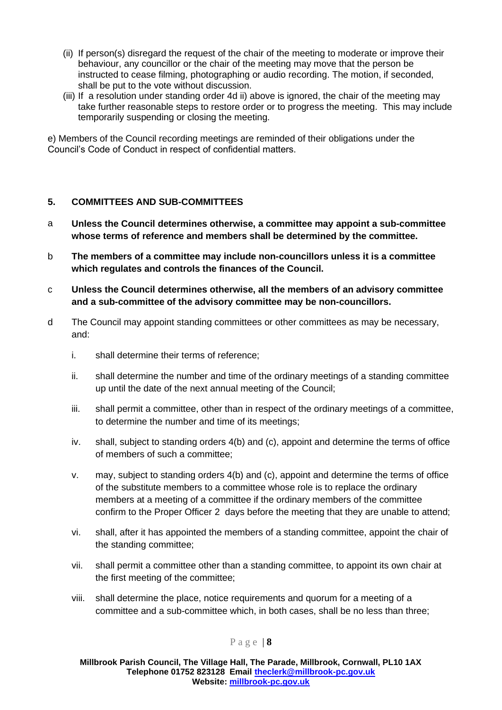- (ii) If person(s) disregard the request of the chair of the meeting to moderate or improve their behaviour, any councillor or the chair of the meeting may move that the person be instructed to cease filming, photographing or audio recording. The motion, if seconded, shall be put to the vote without discussion.
- (iii) If a resolution under standing order 4d ii) above is ignored, the chair of the meeting may take further reasonable steps to restore order or to progress the meeting. This may include temporarily suspending or closing the meeting.

e) Members of the Council recording meetings are reminded of their obligations under the Council's Code of Conduct in respect of confidential matters.

# <span id="page-9-0"></span>**5. COMMITTEES AND SUB-COMMITTEES**

- a **Unless the Council determines otherwise, a committee may appoint a sub-committee whose terms of reference and members shall be determined by the committee.**
- b **The members of a committee may include non-councillors unless it is a committee which regulates and controls the finances of the Council.**
- c **Unless the Council determines otherwise, all the members of an advisory committee and a sub-committee of the advisory committee may be non-councillors.**
- d The Council may appoint standing committees or other committees as may be necessary, and:
	- i. shall determine their terms of reference;
	- ii. shall determine the number and time of the ordinary meetings of a standing committee up until the date of the next annual meeting of the Council;
	- iii. shall permit a committee, other than in respect of the ordinary meetings of a committee, to determine the number and time of its meetings;
	- iv. shall, subject to standing orders 4(b) and (c), appoint and determine the terms of office of members of such a committee;
	- v. may, subject to standing orders 4(b) and (c), appoint and determine the terms of office of the substitute members to a committee whose role is to replace the ordinary members at a meeting of a committee if the ordinary members of the committee confirm to the Proper Officer 2 days before the meeting that they are unable to attend;
	- vi. shall, after it has appointed the members of a standing committee, appoint the chair of the standing committee;
	- vii. shall permit a committee other than a standing committee, to appoint its own chair at the first meeting of the committee;
	- viii. shall determine the place, notice requirements and quorum for a meeting of a committee and a sub-committee which, in both cases, shall be no less than three;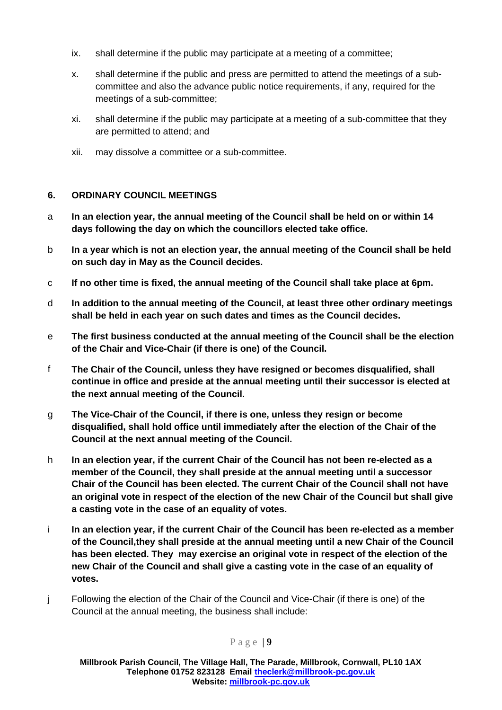- ix. shall determine if the public may participate at a meeting of a committee;
- x. shall determine if the public and press are permitted to attend the meetings of a subcommittee and also the advance public notice requirements, if any, required for the meetings of a sub-committee;
- xi. shall determine if the public may participate at a meeting of a sub-committee that they are permitted to attend; and
- xii. may dissolve a committee or a sub-committee.

# <span id="page-10-0"></span>**6. ORDINARY COUNCIL MEETINGS**

- a **In an election year, the annual meeting of the Council shall be held on or within 14 days following the day on which the councillors elected take office.**
- b **In a year which is not an election year, the annual meeting of the Council shall be held on such day in May as the Council decides.**
- c **If no other time is fixed, the annual meeting of the Council shall take place at 6pm.**
- d **In addition to the annual meeting of the Council, at least three other ordinary meetings shall be held in each year on such dates and times as the Council decides.**
- e **The first business conducted at the annual meeting of the Council shall be the election of the Chair and Vice-Chair (if there is one) of the Council.**
- f **The Chair of the Council, unless they have resigned or becomes disqualified, shall continue in office and preside at the annual meeting until their successor is elected at the next annual meeting of the Council.**
- g **The Vice-Chair of the Council, if there is one, unless they resign or become disqualified, shall hold office until immediately after the election of the Chair of the Council at the next annual meeting of the Council.**
- h **In an election year, if the current Chair of the Council has not been re-elected as a member of the Council, they shall preside at the annual meeting until a successor Chair of the Council has been elected. The current Chair of the Council shall not have an original vote in respect of the election of the new Chair of the Council but shall give a casting vote in the case of an equality of votes.**
- i **In an election year, if the current Chair of the Council has been re-elected as a member of the Council,they shall preside at the annual meeting until a new Chair of the Council has been elected. They may exercise an original vote in respect of the election of the new Chair of the Council and shall give a casting vote in the case of an equality of votes.**
- j Following the election of the Chair of the Council and Vice-Chair (if there is one) of the Council at the annual meeting, the business shall include: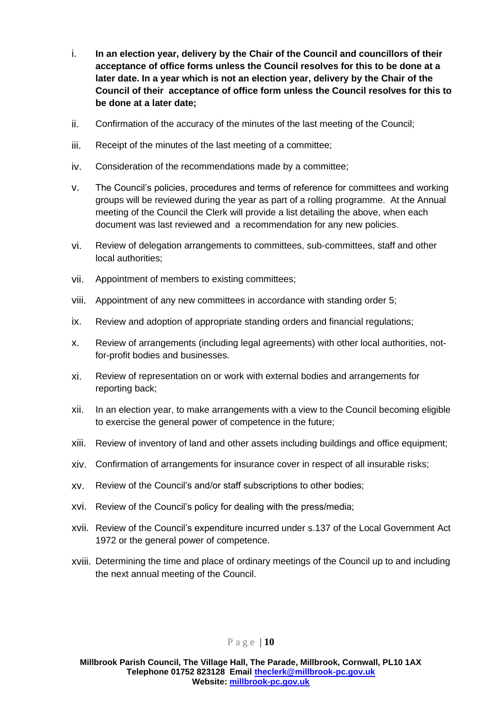- i. **In an election year, delivery by the Chair of the Council and councillors of their acceptance of office forms unless the Council resolves for this to be done at a later date. In a year which is not an election year, delivery by the Chair of the Council of their acceptance of office form unless the Council resolves for this to be done at a later date;**
- ii. Confirmation of the accuracy of the minutes of the last meeting of the Council;
- iii. Receipt of the minutes of the last meeting of a committee;
- iv. Consideration of the recommendations made by a committee;
- v. The Council's policies, procedures and terms of reference for committees and working groups will be reviewed during the year as part of a rolling programme. At the Annual meeting of the Council the Clerk will provide a list detailing the above, when each document was last reviewed and a recommendation for any new policies.
- vi. Review of delegation arrangements to committees, sub-committees, staff and other local authorities;
- vii. Appointment of members to existing committees;
- viii. Appointment of any new committees in accordance with standing order 5;
- ix. Review and adoption of appropriate standing orders and financial regulations;
- x. Review of arrangements (including legal agreements) with other local authorities, notfor-profit bodies and businesses.
- xi. Review of representation on or work with external bodies and arrangements for reporting back;
- xii. In an election year, to make arrangements with a view to the Council becoming eligible to exercise the general power of competence in the future;
- xiii. Review of inventory of land and other assets including buildings and office equipment;
- xiv. Confirmation of arrangements for insurance cover in respect of all insurable risks;
- xv. Review of the Council's and/or staff subscriptions to other bodies;
- xvi. Review of the Council's policy for dealing with the press/media;
- xvii. Review of the Council's expenditure incurred under s.137 of the Local Government Act 1972 or the general power of competence.
- xviii. Determining the time and place of ordinary meetings of the Council up to and including the next annual meeting of the Council.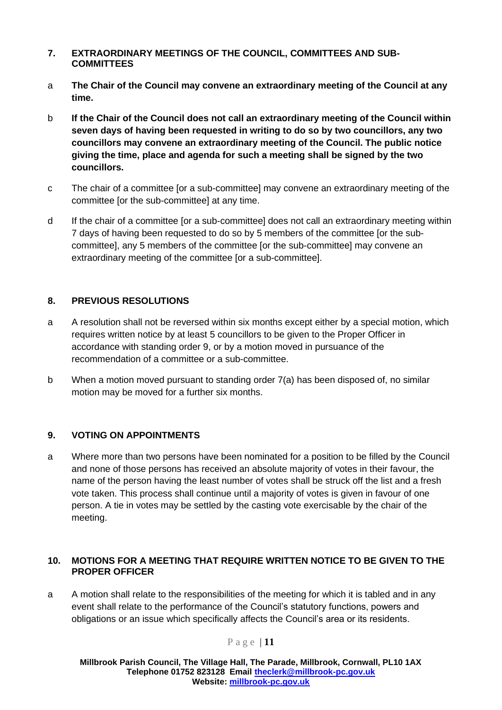#### <span id="page-12-0"></span>**7. EXTRAORDINARY MEETINGS OF THE COUNCIL, COMMITTEES AND SUB-COMMITTEES**

- a **The Chair of the Council may convene an extraordinary meeting of the Council at any time.**
- b **If the Chair of the Council does not call an extraordinary meeting of the Council within seven days of having been requested in writing to do so by two councillors, any two councillors may convene an extraordinary meeting of the Council. The public notice giving the time, place and agenda for such a meeting shall be signed by the two councillors.**
- c The chair of a committee [or a sub-committee] may convene an extraordinary meeting of the committee [or the sub-committee] at any time.
- d If the chair of a committee [or a sub-committee] does not call an extraordinary meeting within 7 days of having been requested to do so by 5 members of the committee [or the subcommittee], any 5 members of the committee [or the sub-committee] may convene an extraordinary meeting of the committee [or a sub-committee].

# <span id="page-12-1"></span>**8. PREVIOUS RESOLUTIONS**

- a A resolution shall not be reversed within six months except either by a special motion, which requires written notice by at least 5 councillors to be given to the Proper Officer in accordance with standing order 9, or by a motion moved in pursuance of the recommendation of a committee or a sub-committee.
- b When a motion moved pursuant to standing order 7(a) has been disposed of, no similar motion may be moved for a further six months.

# <span id="page-12-2"></span>**9. VOTING ON APPOINTMENTS**

a Where more than two persons have been nominated for a position to be filled by the Council and none of those persons has received an absolute majority of votes in their favour, the name of the person having the least number of votes shall be struck off the list and a fresh vote taken. This process shall continue until a majority of votes is given in favour of one person. A tie in votes may be settled by the casting vote exercisable by the chair of the meeting.

#### <span id="page-12-3"></span>**10. MOTIONS FOR A MEETING THAT REQUIRE WRITTEN NOTICE TO BE GIVEN TO THE PROPER OFFICER**

a A motion shall relate to the responsibilities of the meeting for which it is tabled and in any event shall relate to the performance of the Council's statutory functions, powers and obligations or an issue which specifically affects the Council's area or its residents.

# P a g e | **11**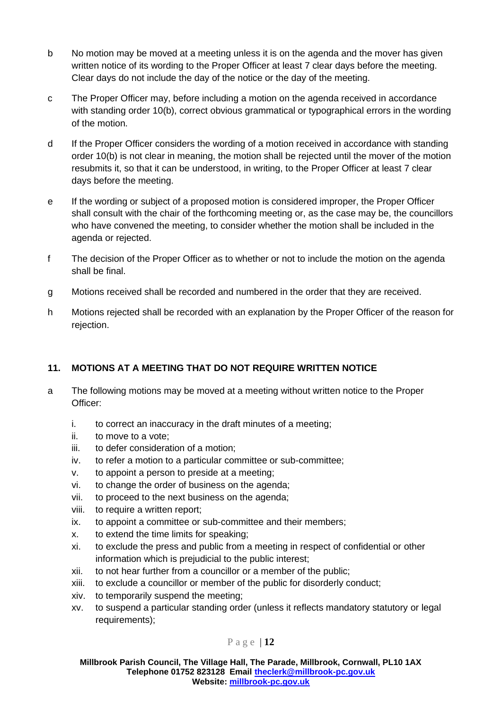- b No motion may be moved at a meeting unless it is on the agenda and the mover has given written notice of its wording to the Proper Officer at least 7 clear days before the meeting. Clear days do not include the day of the notice or the day of the meeting.
- c The Proper Officer may, before including a motion on the agenda received in accordance with standing order 10(b), correct obvious grammatical or typographical errors in the wording of the motion.
- d If the Proper Officer considers the wording of a motion received in accordance with standing order 10(b) is not clear in meaning, the motion shall be rejected until the mover of the motion resubmits it, so that it can be understood, in writing, to the Proper Officer at least 7 clear days before the meeting.
- e If the wording or subject of a proposed motion is considered improper, the Proper Officer shall consult with the chair of the forthcoming meeting or, as the case may be, the councillors who have convened the meeting, to consider whether the motion shall be included in the agenda or rejected.
- f The decision of the Proper Officer as to whether or not to include the motion on the agenda shall be final.
- g Motions received shall be recorded and numbered in the order that they are received.
- h Motions rejected shall be recorded with an explanation by the Proper Officer of the reason for rejection.

# <span id="page-13-0"></span>**11. MOTIONS AT A MEETING THAT DO NOT REQUIRE WRITTEN NOTICE**

- a The following motions may be moved at a meeting without written notice to the Proper Officer:
	- i. to correct an inaccuracy in the draft minutes of a meeting;
	- ii. to move to a vote;
	- iii. to defer consideration of a motion;
	- iv. to refer a motion to a particular committee or sub-committee;
	- v. to appoint a person to preside at a meeting;
	- vi. to change the order of business on the agenda;
	- vii. to proceed to the next business on the agenda;
	- viii. to require a written report;
	- ix. to appoint a committee or sub-committee and their members;
	- x. to extend the time limits for speaking;
	- xi. to exclude the press and public from a meeting in respect of confidential or other information which is prejudicial to the public interest;
	- xii. to not hear further from a councillor or a member of the public;
	- xiii. to exclude a councillor or member of the public for disorderly conduct;
	- xiv. to temporarily suspend the meeting;
	- xv. to suspend a particular standing order (unless it reflects mandatory statutory or legal requirements);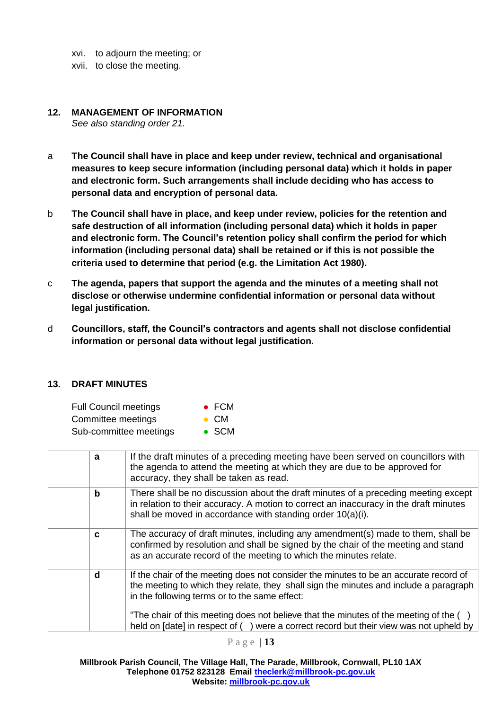- xvi. to adjourn the meeting; or
- xvii. to close the meeting.

#### <span id="page-14-0"></span>**12. MANAGEMENT OF INFORMATION**

*See also standing order 21.*

- a **The Council shall have in place and keep under review, technical and organisational measures to keep secure information (including personal data) which it holds in paper and electronic form. Such arrangements shall include deciding who has access to personal data and encryption of personal data.**
- b **The Council shall have in place, and keep under review, policies for the retention and safe destruction of all information (including personal data) which it holds in paper and electronic form. The Council's retention policy shall confirm the period for which information (including personal data) shall be retained or if this is not possible the criteria used to determine that period (e.g. the Limitation Act 1980).**
- c **The agenda, papers that support the agenda and the minutes of a meeting shall not disclose or otherwise undermine confidential information or personal data without legal justification.**
- d **Councillors, staff, the Council's contractors and agents shall not disclose confidential information or personal data without legal justification.**

#### <span id="page-14-1"></span>**13. DRAFT MINUTES**

| <b>Full Council meetings</b> | $\bullet$ FCM |
|------------------------------|---------------|
| Committee meetings           | $\bullet$ CM  |
| Sub-committee meetings       | $\bullet$ SCM |

| a | If the draft minutes of a preceding meeting have been served on councillors with<br>the agenda to attend the meeting at which they are due to be approved for<br>accuracy, they shall be taken as read.                                    |
|---|--------------------------------------------------------------------------------------------------------------------------------------------------------------------------------------------------------------------------------------------|
| b | There shall be no discussion about the draft minutes of a preceding meeting except<br>in relation to their accuracy. A motion to correct an inaccuracy in the draft minutes<br>shall be moved in accordance with standing order 10(a)(i).  |
| C | The accuracy of draft minutes, including any amendment(s) made to them, shall be<br>confirmed by resolution and shall be signed by the chair of the meeting and stand<br>as an accurate record of the meeting to which the minutes relate. |
| d | If the chair of the meeting does not consider the minutes to be an accurate record of<br>the meeting to which they relate, they shall sign the minutes and include a paragraph<br>in the following terms or to the same effect:            |
|   | "The chair of this meeting does not believe that the minutes of the meeting of the ()<br>held on [date] in respect of () were a correct record but their view was not upheld by                                                            |

P a g e | **13**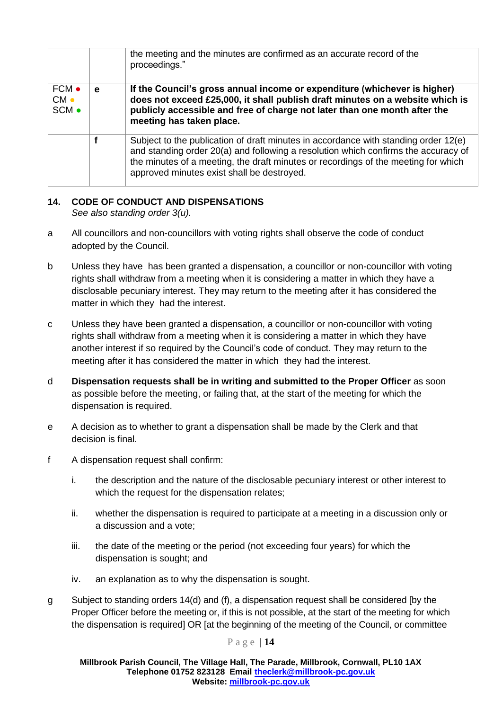|                                |   | the meeting and the minutes are confirmed as an accurate record of the<br>proceedings."                                                                                                                                                                                                                       |
|--------------------------------|---|---------------------------------------------------------------------------------------------------------------------------------------------------------------------------------------------------------------------------------------------------------------------------------------------------------------|
| FCM •<br>$CM \bullet$<br>SCM • | e | If the Council's gross annual income or expenditure (whichever is higher)<br>does not exceed £25,000, it shall publish draft minutes on a website which is<br>publicly accessible and free of charge not later than one month after the<br>meeting has taken place.                                           |
|                                |   | Subject to the publication of draft minutes in accordance with standing order 12(e)<br>and standing order 20(a) and following a resolution which confirms the accuracy of<br>the minutes of a meeting, the draft minutes or recordings of the meeting for which<br>approved minutes exist shall be destroyed. |

# <span id="page-15-0"></span>**14. CODE OF CONDUCT AND DISPENSATIONS**

*See also standing order 3(u).*

- a All councillors and non-councillors with voting rights shall observe the code of conduct adopted by the Council.
- b Unless they have has been granted a dispensation, a councillor or non-councillor with voting rights shall withdraw from a meeting when it is considering a matter in which they have a disclosable pecuniary interest. They may return to the meeting after it has considered the matter in which they had the interest.
- c Unless they have been granted a dispensation, a councillor or non-councillor with voting rights shall withdraw from a meeting when it is considering a matter in which they have another interest if so required by the Council's code of conduct. They may return to the meeting after it has considered the matter in which they had the interest.
- d **Dispensation requests shall be in writing and submitted to the Proper Officer** as soon as possible before the meeting, or failing that, at the start of the meeting for which the dispensation is required.
- e A decision as to whether to grant a dispensation shall be made by the Clerk and that decision is final.
- f A dispensation request shall confirm:
	- i. the description and the nature of the disclosable pecuniary interest or other interest to which the request for the dispensation relates:
	- ii. whether the dispensation is required to participate at a meeting in a discussion only or a discussion and a vote;
	- iii. the date of the meeting or the period (not exceeding four years) for which the dispensation is sought; and
	- iv. an explanation as to why the dispensation is sought.
- g Subject to standing orders 14(d) and (f), a dispensation request shall be considered [by the Proper Officer before the meeting or, if this is not possible, at the start of the meeting for which the dispensation is required] OR [at the beginning of the meeting of the Council, or committee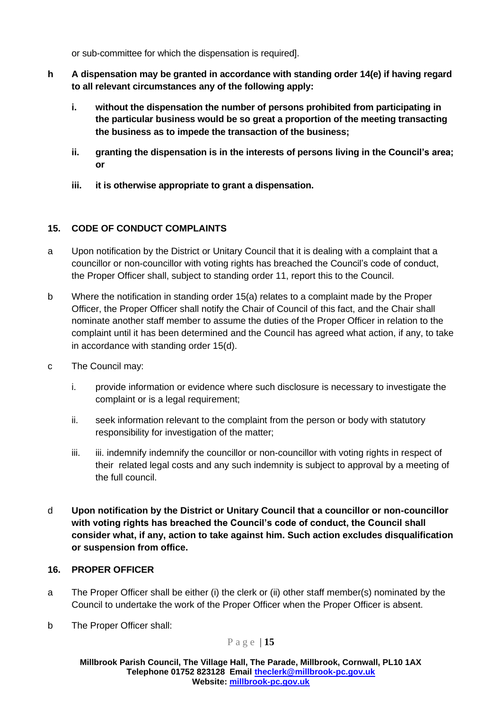or sub-committee for which the dispensation is required].

- **h A dispensation may be granted in accordance with standing order 14(e) if having regard to all relevant circumstances any of the following apply:**
	- **i. without the dispensation the number of persons prohibited from participating in the particular business would be so great a proportion of the meeting transacting the business as to impede the transaction of the business;**
	- **ii. granting the dispensation is in the interests of persons living in the Council's area; or**
	- **iii. it is otherwise appropriate to grant a dispensation.**

# <span id="page-16-0"></span>**15. CODE OF CONDUCT COMPLAINTS**

- a Upon notification by the District or Unitary Council that it is dealing with a complaint that a councillor or non-councillor with voting rights has breached the Council's code of conduct, the Proper Officer shall, subject to standing order 11, report this to the Council.
- b Where the notification in standing order 15(a) relates to a complaint made by the Proper Officer, the Proper Officer shall notify the Chair of Council of this fact, and the Chair shall nominate another staff member to assume the duties of the Proper Officer in relation to the complaint until it has been determined and the Council has agreed what action, if any, to take in accordance with standing order 15(d).
- c The Council may:
	- i. provide information or evidence where such disclosure is necessary to investigate the complaint or is a legal requirement;
	- ii. seek information relevant to the complaint from the person or body with statutory responsibility for investigation of the matter;
	- iii. iii. indemnify indemnify the councillor or non-councillor with voting rights in respect of their related legal costs and any such indemnity is subject to approval by a meeting of the full council.
- d **Upon notification by the District or Unitary Council that a councillor or non-councillor with voting rights has breached the Council's code of conduct, the Council shall consider what, if any, action to take against him. Such action excludes disqualification or suspension from office.**

#### <span id="page-16-1"></span>**16. PROPER OFFICER**

- a The Proper Officer shall be either (i) the clerk or (ii) other staff member(s) nominated by the Council to undertake the work of the Proper Officer when the Proper Officer is absent.
- b The Proper Officer shall:

P a g e | **15**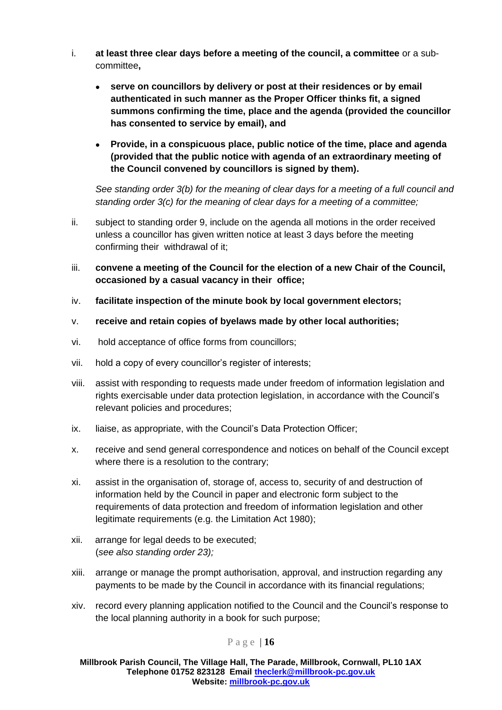- i. **at least three clear days before a meeting of the council, a committee** or a subcommittee**,**
	- **serve on councillors by delivery or post at their residences or by email authenticated in such manner as the Proper Officer thinks fit, a signed summons confirming the time, place and the agenda (provided the councillor has consented to service by email), and**
	- **Provide, in a conspicuous place, public notice of the time, place and agenda (provided that the public notice with agenda of an extraordinary meeting of the Council convened by councillors is signed by them).**

*See standing order 3(b) for the meaning of clear days for a meeting of a full council and standing order 3(c) for the meaning of clear days for a meeting of a committee;*

- ii. subject to standing order 9, include on the agenda all motions in the order received unless a councillor has given written notice at least 3 days before the meeting confirming their withdrawal of it;
- iii. **convene a meeting of the Council for the election of a new Chair of the Council, occasioned by a casual vacancy in their office;**
- iv. **facilitate inspection of the minute book by local government electors;**
- v. **receive and retain copies of byelaws made by other local authorities;**
- vi. hold acceptance of office forms from councillors;
- vii. hold a copy of every councillor's register of interests;
- viii. assist with responding to requests made under freedom of information legislation and rights exercisable under data protection legislation, in accordance with the Council's relevant policies and procedures;
- ix. liaise, as appropriate, with the Council's Data Protection Officer;
- x. receive and send general correspondence and notices on behalf of the Council except where there is a resolution to the contrary;
- xi. assist in the organisation of, storage of, access to, security of and destruction of information held by the Council in paper and electronic form subject to the requirements of data protection and freedom of information legislation and other legitimate requirements (e.g. the Limitation Act 1980);
- xii. arrange for legal deeds to be executed; (*see also standing order 23);*
- xiii. arrange or manage the prompt authorisation, approval, and instruction regarding any payments to be made by the Council in accordance with its financial regulations;
- xiv. record every planning application notified to the Council and the Council's response to the local planning authority in a book for such purpose;

#### P a g e | **16**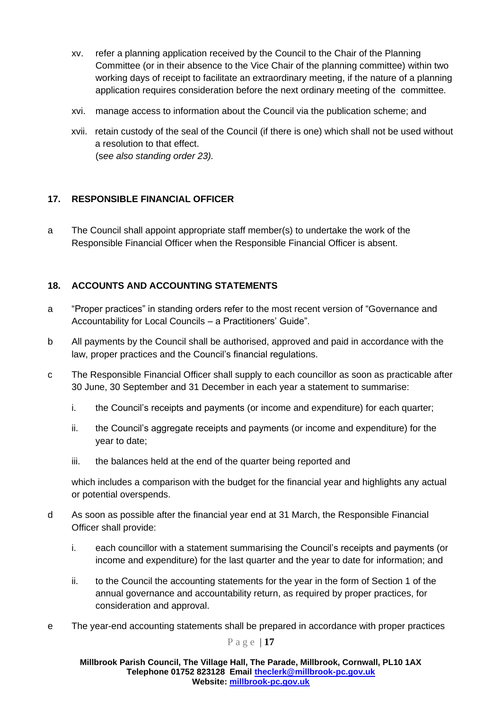- xv. refer a planning application received by the Council to the Chair of the Planning Committee (or in their absence to the Vice Chair of the planning committee) within two working days of receipt to facilitate an extraordinary meeting, if the nature of a planning application requires consideration before the next ordinary meeting of the committee.
- xvi. manage access to information about the Council via the publication scheme; and
- xvii. retain custody of the seal of the Council (if there is one) which shall not be used without a resolution to that effect. (s*ee also standing order 23).*

# <span id="page-18-0"></span>**17. RESPONSIBLE FINANCIAL OFFICER**

a The Council shall appoint appropriate staff member(s) to undertake the work of the Responsible Financial Officer when the Responsible Financial Officer is absent.

# <span id="page-18-1"></span>**18. ACCOUNTS AND ACCOUNTING STATEMENTS**

- a "Proper practices" in standing orders refer to the most recent version of "Governance and Accountability for Local Councils – a Practitioners' Guide".
- b All payments by the Council shall be authorised, approved and paid in accordance with the law, proper practices and the Council's financial regulations.
- c The Responsible Financial Officer shall supply to each councillor as soon as practicable after 30 June, 30 September and 31 December in each year a statement to summarise:
	- i. the Council's receipts and payments (or income and expenditure) for each quarter;
	- ii. the Council's aggregate receipts and payments (or income and expenditure) for the year to date;
	- iii. the balances held at the end of the quarter being reported and

which includes a comparison with the budget for the financial year and highlights any actual or potential overspends.

- d As soon as possible after the financial year end at 31 March, the Responsible Financial Officer shall provide:
	- i. each councillor with a statement summarising the Council's receipts and payments (or income and expenditure) for the last quarter and the year to date for information; and
	- ii. to the Council the accounting statements for the year in the form of Section 1 of the annual governance and accountability return, as required by proper practices, for consideration and approval.
- e The year-end accounting statements shall be prepared in accordance with proper practices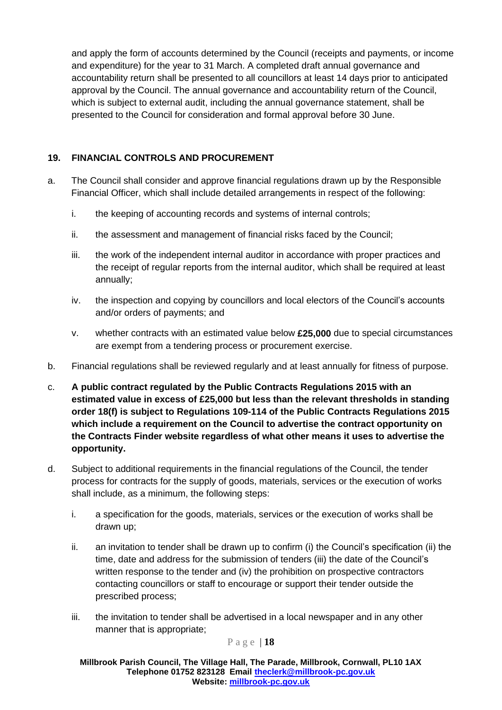and apply the form of accounts determined by the Council (receipts and payments, or income and expenditure) for the year to 31 March. A completed draft annual governance and accountability return shall be presented to all councillors at least 14 days prior to anticipated approval by the Council. The annual governance and accountability return of the Council, which is subject to external audit, including the annual governance statement, shall be presented to the Council for consideration and formal approval before 30 June.

# <span id="page-19-0"></span>**19. FINANCIAL CONTROLS AND PROCUREMENT**

- a. The Council shall consider and approve financial regulations drawn up by the Responsible Financial Officer, which shall include detailed arrangements in respect of the following:
	- i. the keeping of accounting records and systems of internal controls;
	- ii. the assessment and management of financial risks faced by the Council;
	- iii. the work of the independent internal auditor in accordance with proper practices and the receipt of regular reports from the internal auditor, which shall be required at least annually;
	- iv. the inspection and copying by councillors and local electors of the Council's accounts and/or orders of payments; and
	- v. whether contracts with an estimated value below **£25,000** due to special circumstances are exempt from a tendering process or procurement exercise.
- b. Financial regulations shall be reviewed regularly and at least annually for fitness of purpose.
- c. **A public contract regulated by the Public Contracts Regulations 2015 with an estimated value in excess of £25,000 but less than the relevant thresholds in standing order 18(f) is subject to Regulations 109-114 of the Public Contracts Regulations 2015 which include a requirement on the Council to advertise the contract opportunity on the Contracts Finder website regardless of what other means it uses to advertise the opportunity.**
- d. Subject to additional requirements in the financial regulations of the Council, the tender process for contracts for the supply of goods, materials, services or the execution of works shall include, as a minimum, the following steps:
	- i. a specification for the goods, materials, services or the execution of works shall be drawn up;
	- ii. an invitation to tender shall be drawn up to confirm (i) the Council's specification (ii) the time, date and address for the submission of tenders (iii) the date of the Council's written response to the tender and (iv) the prohibition on prospective contractors contacting councillors or staff to encourage or support their tender outside the prescribed process;
	- iii. the invitation to tender shall be advertised in a local newspaper and in any other manner that is appropriate;

P a g e | **18**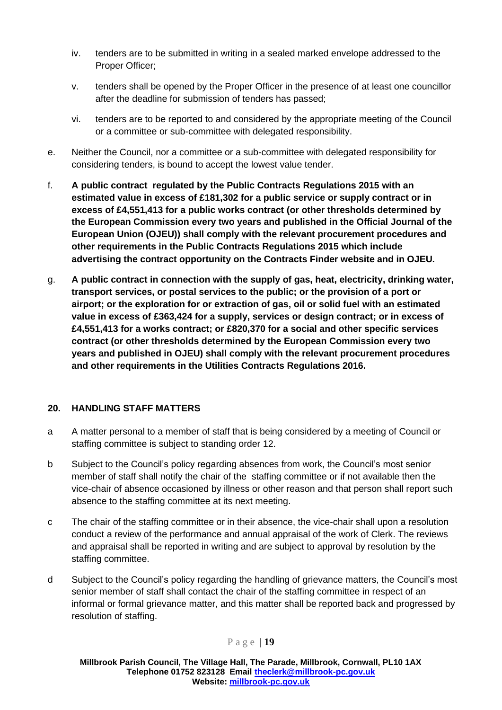- iv. tenders are to be submitted in writing in a sealed marked envelope addressed to the Proper Officer;
- v. tenders shall be opened by the Proper Officer in the presence of at least one councillor after the deadline for submission of tenders has passed;
- vi. tenders are to be reported to and considered by the appropriate meeting of the Council or a committee or sub-committee with delegated responsibility.
- e. Neither the Council, nor a committee or a sub-committee with delegated responsibility for considering tenders, is bound to accept the lowest value tender.
- f. **A public contract regulated by the Public Contracts Regulations 2015 with an estimated value in excess of £181,302 for a public service or supply contract or in excess of £4,551,413 for a public works contract (or other thresholds determined by the European Commission every two years and published in the Official Journal of the European Union (OJEU)) shall comply with the relevant procurement procedures and other requirements in the Public Contracts Regulations 2015 which include advertising the contract opportunity on the Contracts Finder website and in OJEU.**
- g. **A public contract in connection with the supply of gas, heat, electricity, drinking water, transport services, or postal services to the public; or the provision of a port or airport; or the exploration for or extraction of gas, oil or solid fuel with an estimated value in excess of £363,424 for a supply, services or design contract; or in excess of £4,551,413 for a works contract; or £820,370 for a social and other specific services contract (or other thresholds determined by the European Commission every two years and published in OJEU) shall comply with the relevant procurement procedures and other requirements in the Utilities Contracts Regulations 2016.**

# <span id="page-20-0"></span>**20. HANDLING STAFF MATTERS**

- a A matter personal to a member of staff that is being considered by a meeting of Council or staffing committee is subject to standing order 12.
- b Subject to the Council's policy regarding absences from work, the Council's most senior member of staff shall notify the chair of the staffing committee or if not available then the vice-chair of absence occasioned by illness or other reason and that person shall report such absence to the staffing committee at its next meeting.
- c The chair of the staffing committee or in their absence, the vice-chair shall upon a resolution conduct a review of the performance and annual appraisal of the work of Clerk. The reviews and appraisal shall be reported in writing and are subject to approval by resolution by the staffing committee.
- d Subject to the Council's policy regarding the handling of grievance matters, the Council's most senior member of staff shall contact the chair of the staffing committee in respect of an informal or formal grievance matter, and this matter shall be reported back and progressed by resolution of staffing.

# P a g e | **19**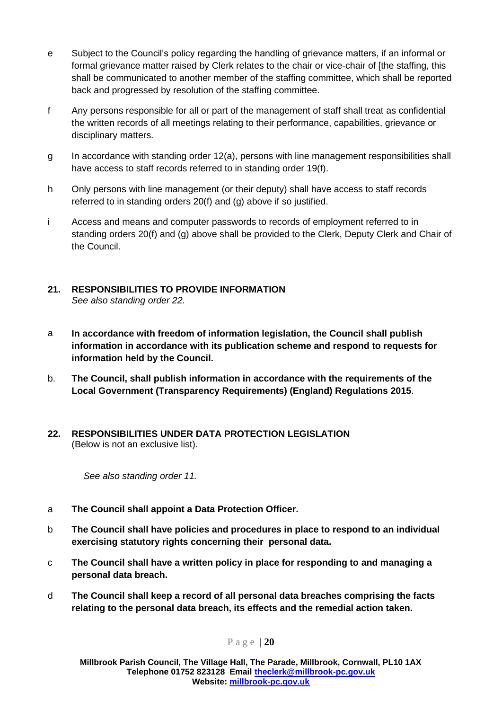- e Subject to the Council's policy regarding the handling of grievance matters, if an informal or formal grievance matter raised by Clerk relates to the chair or vice-chair of [the staffing, this shall be communicated to another member of the staffing committee, which shall be reported back and progressed by resolution of the staffing committee.
- f Any persons responsible for all or part of the management of staff shall treat as confidential the written records of all meetings relating to their performance, capabilities, grievance or disciplinary matters.
- g In accordance with standing order 12(a), persons with line management responsibilities shall have access to staff records referred to in standing order 19(f).
- h Only persons with line management (or their deputy) shall have access to staff records referred to in standing orders 20(f) and (g) above if so justified.
- i Access and means and computer passwords to records of employment referred to in standing orders 20(f) and (g) above shall be provided to the Clerk, Deputy Clerk and Chair of the Council.
- <span id="page-21-0"></span>**21. RESPONSIBILITIES TO PROVIDE INFORMATION**  *See also standing order 22.*
- a **In accordance with freedom of information legislation, the Council shall publish information in accordance with its publication scheme and respond to requests for information held by the Council.**
- b. **The Council, shall publish information in accordance with the requirements of the Local Government (Transparency Requirements) (England) Regulations 2015**.
- <span id="page-21-1"></span>**22. RESPONSIBILITIES UNDER DATA PROTECTION LEGISLATION**  (Below is not an exclusive list).

*See also standing order 11.*

- a **The Council shall appoint a Data Protection Officer.**
- b **The Council shall have policies and procedures in place to respond to an individual exercising statutory rights concerning their personal data.**
- c **The Council shall have a written policy in place for responding to and managing a personal data breach.**
- d **The Council shall keep a record of all personal data breaches comprising the facts relating to the personal data breach, its effects and the remedial action taken.**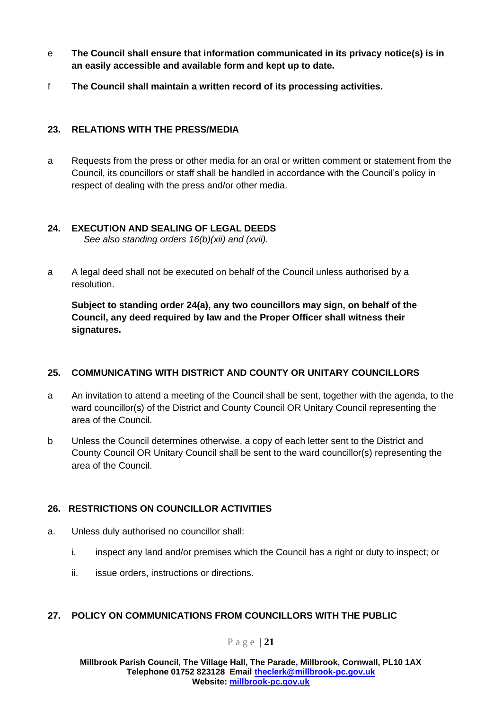- e **The Council shall ensure that information communicated in its privacy notice(s) is in an easily accessible and available form and kept up to date.**
- f **The Council shall maintain a written record of its processing activities.**

# <span id="page-22-0"></span>**23. RELATIONS WITH THE PRESS/MEDIA**

a Requests from the press or other media for an oral or written comment or statement from the Council, its councillors or staff shall be handled in accordance with the Council's policy in respect of dealing with the press and/or other media.

# <span id="page-22-1"></span>**24. EXECUTION AND SEALING OF LEGAL DEEDS**

*See also standing orders 16(b)(xii) and (xvii).*

a A legal deed shall not be executed on behalf of the Council unless authorised by a resolution.

**Subject to standing order 24(a), any two councillors may sign, on behalf of the Council, any deed required by law and the Proper Officer shall witness their signatures.**

# <span id="page-22-2"></span>**25. COMMUNICATING WITH DISTRICT AND COUNTY OR UNITARY COUNCILLORS**

- a An invitation to attend a meeting of the Council shall be sent, together with the agenda, to the ward councillor(s) of the District and County Council OR Unitary Council representing the area of the Council.
- b Unless the Council determines otherwise, a copy of each letter sent to the District and County Council OR Unitary Council shall be sent to the ward councillor(s) representing the area of the Council.

# <span id="page-22-3"></span>**26. RESTRICTIONS ON COUNCILLOR ACTIVITIES**

- a. Unless duly authorised no councillor shall:
	- i. inspect any land and/or premises which the Council has a right or duty to inspect; or
	- ii. issue orders, instructions or directions.

# <span id="page-22-4"></span>**27. POLICY ON COMMUNICATIONS FROM COUNCILLORS WITH THE PUBLIC**

#### P a g e | **21**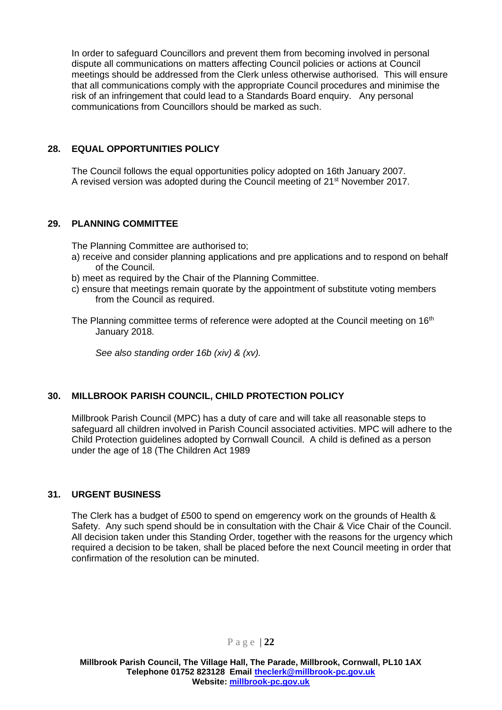In order to safeguard Councillors and prevent them from becoming involved in personal dispute all communications on matters affecting Council policies or actions at Council meetings should be addressed from the Clerk unless otherwise authorised. This will ensure that all communications comply with the appropriate Council procedures and minimise the risk of an infringement that could lead to a Standards Board enquiry. Any personal communications from Councillors should be marked as such.

# <span id="page-23-0"></span>**28. EQUAL OPPORTUNITIES POLICY**

The Council follows the equal opportunities policy adopted on 16th January 2007. A revised version was adopted during the Council meeting of 21st November 2017.

#### <span id="page-23-1"></span>**29. PLANNING COMMITTEE**

The Planning Committee are authorised to;

- a) receive and consider planning applications and pre applications and to respond on behalf of the Council.
- b) meet as required by the Chair of the Planning Committee.
- c) ensure that meetings remain quorate by the appointment of substitute voting members from the Council as required.

The Planning committee terms of reference were adopted at the Council meeting on 16<sup>th</sup> January 2018.

*See also standing order 16b (xiv) & (xv).*

# **30. MILLBROOK PARISH COUNCIL, CHILD PROTECTION POLICY**

Millbrook Parish Council (MPC) has a duty of care and will take all reasonable steps to safeguard all children involved in Parish Council associated activities. MPC will adhere to the Child Protection guidelines adopted by Cornwall Council. A child is defined as a person under the age of 18 (The Children Act 1989

# **31. URGENT BUSINESS**

The Clerk has a budget of £500 to spend on emgerency work on the grounds of Health & Safety. Any such spend should be in consultation with the Chair & Vice Chair of the Council. All decision taken under this Standing Order, together with the reasons for the urgency which required a decision to be taken, shall be placed before the next Council meeting in order that confirmation of the resolution can be minuted.